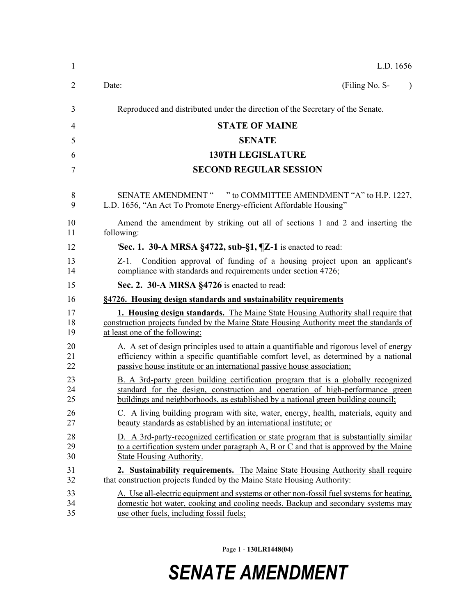|            | L.D. 1656                                                                                                                                                                                                                                                  |
|------------|------------------------------------------------------------------------------------------------------------------------------------------------------------------------------------------------------------------------------------------------------------|
| Date:      | (Filing No. S-                                                                                                                                                                                                                                             |
|            | Reproduced and distributed under the direction of the Secretary of the Senate.                                                                                                                                                                             |
|            | <b>STATE OF MAINE</b>                                                                                                                                                                                                                                      |
|            | <b>SENATE</b>                                                                                                                                                                                                                                              |
|            | <b>130TH LEGISLATURE</b>                                                                                                                                                                                                                                   |
|            | <b>SECOND REGULAR SESSION</b>                                                                                                                                                                                                                              |
|            | SENATE AMENDMENT " " to COMMITTEE AMENDMENT "A" to H.P. 1227,<br>L.D. 1656, "An Act To Promote Energy-efficient Affordable Housing"                                                                                                                        |
| following: | Amend the amendment by striking out all of sections 1 and 2 and inserting the                                                                                                                                                                              |
|            | 'Sec. 1. 30-A MRSA $\S$ 4722, sub- $\S$ 1, $\P$ Z-1 is enacted to read:                                                                                                                                                                                    |
|            | <u>Z-1. Condition approval of funding of a housing project upon an applicant's</u><br>compliance with standards and requirements under section 4726;                                                                                                       |
|            | Sec. 2. 30-A MRSA §4726 is enacted to read:                                                                                                                                                                                                                |
|            | §4726. Housing design standards and sustainability requirements                                                                                                                                                                                            |
|            | <b>1. Housing design standards.</b> The Maine State Housing Authority shall require that<br>construction projects funded by the Maine State Housing Authority meet the standards of<br>at least one of the following:                                      |
|            | A. A set of design principles used to attain a quantifiable and rigorous level of energy<br>efficiency within a specific quantifiable comfort level, as determined by a national<br>passive house institute or an international passive house association; |
|            | B. A 3rd-party green building certification program that is a globally recognized<br>standard for the design, construction and operation of high-performance green<br>buildings and neighborhoods, as established by a national green building council;    |
|            | C. A living building program with site, water, energy, health, materials, equity and<br>beauty standards as established by an international institute; or                                                                                                  |
|            | D. A 3rd-party-recognized certification or state program that is substantially similar<br>to a certification system under paragraph A, B or C and that is approved by the Maine<br><b>State Housing Authority.</b>                                         |
|            | 2. Sustainability requirements. The Maine State Housing Authority shall require<br>that construction projects funded by the Maine State Housing Authority:                                                                                                 |
|            | A. Use all-electric equipment and systems or other non-fossil fuel systems for heating,<br>domestic hot water, cooking and cooling needs. Backup and secondary systems may<br>use other fuels, including fossil fuels;                                     |

Page 1 - **130LR1448(04)**

## *SENATE AMENDMENT*